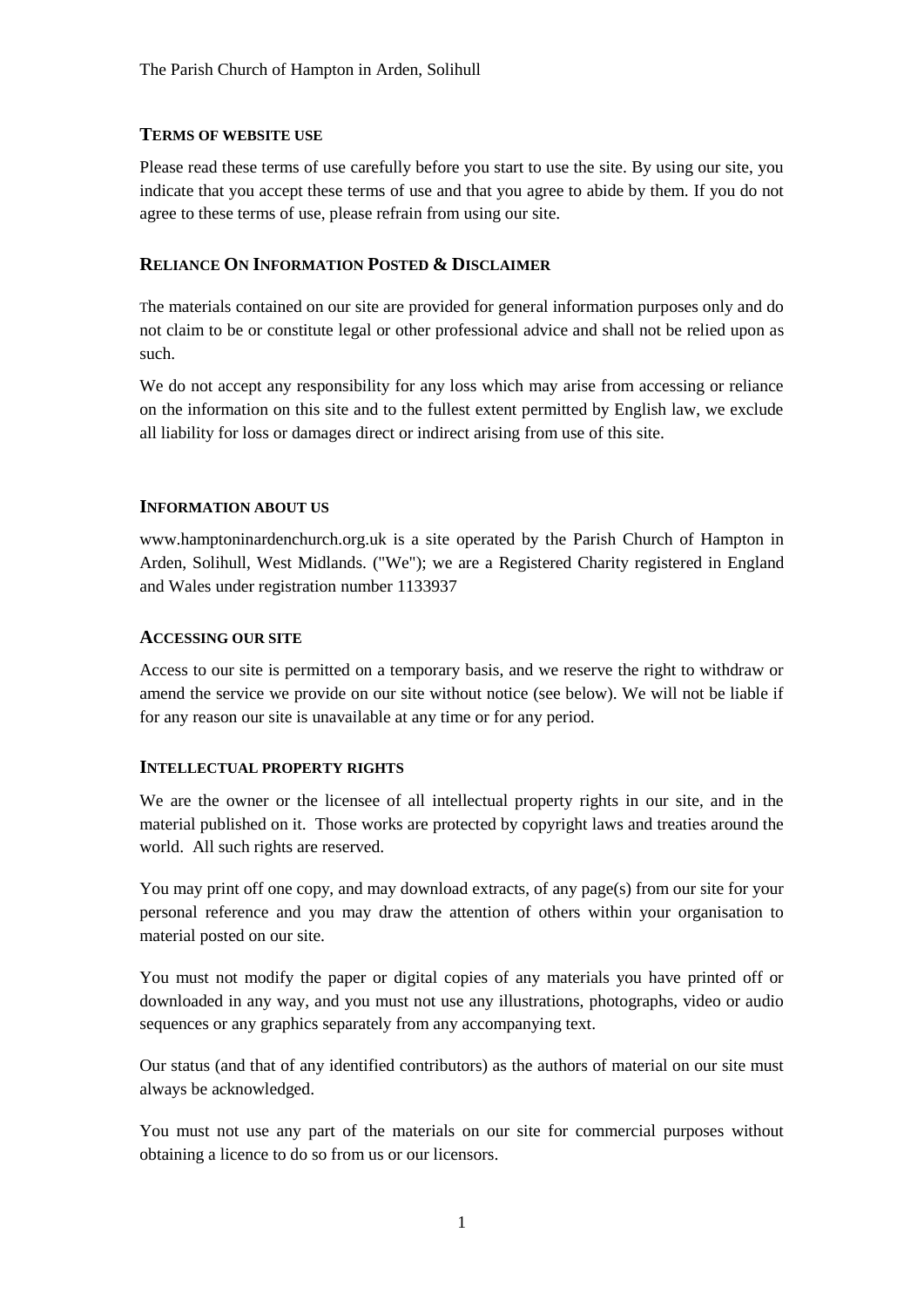## **TERMS OF WEBSITE USE**

Please read these terms of use carefully before you start to use the site. By using our site, you indicate that you accept these terms of use and that you agree to abide by them. If you do not agree to these terms of use, please refrain from using our site.

## **RELIANCE ON INFORMATION POSTED & DISCLAIMER**

The materials contained on our site are provided for general information purposes only and do not claim to be or constitute legal or other professional advice and shall not be relied upon as such.

We do not accept any responsibility for any loss which may arise from accessing or reliance on the information on this site and to the fullest extent permitted by English law, we exclude all liability for loss or damages direct or indirect arising from use of this site.

# **INFORMATION ABOUT US**

www.hamptoninardenchurch.org.uk is a site operated by the Parish Church of Hampton in Arden, Solihull, West Midlands. ("We"); we are a Registered Charity registered in England and Wales under registration number 1133937

### **ACCESSING OUR SITE**

Access to our site is permitted on a temporary basis, and we reserve the right to withdraw or amend the service we provide on our site without notice (see below). We will not be liable if for any reason our site is unavailable at any time or for any period.

### **INTELLECTUAL PROPERTY RIGHTS**

We are the owner or the licensee of all intellectual property rights in our site, and in the material published on it. Those works are protected by copyright laws and treaties around the world. All such rights are reserved.

You may print off one copy, and may download extracts, of any page(s) from our site for your personal reference and you may draw the attention of others within your organisation to material posted on our site.

You must not modify the paper or digital copies of any materials you have printed off or downloaded in any way, and you must not use any illustrations, photographs, video or audio sequences or any graphics separately from any accompanying text.

Our status (and that of any identified contributors) as the authors of material on our site must always be acknowledged.

You must not use any part of the materials on our site for commercial purposes without obtaining a licence to do so from us or our licensors.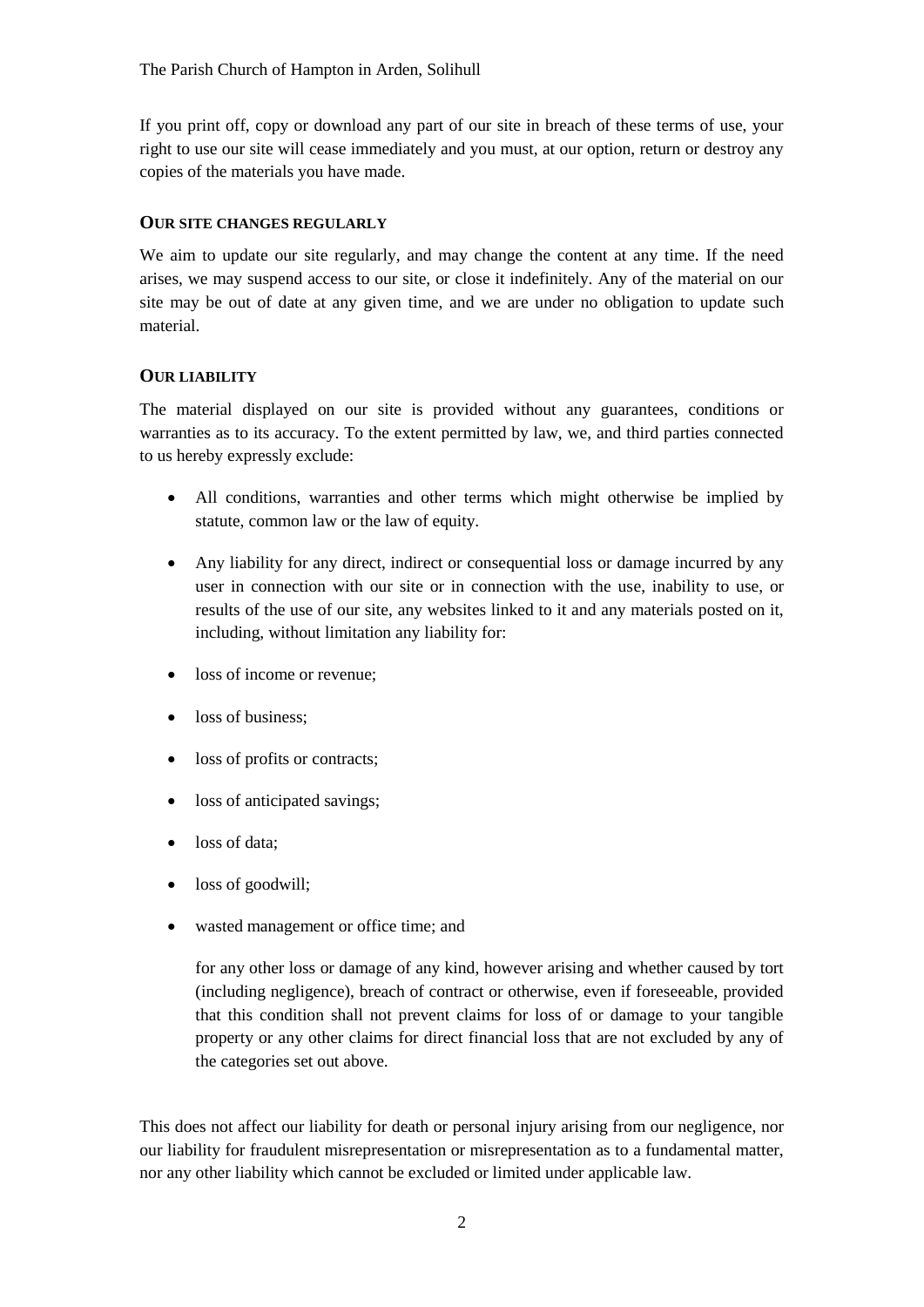If you print off, copy or download any part of our site in breach of these terms of use, your right to use our site will cease immediately and you must, at our option, return or destroy any copies of the materials you have made.

## **OUR SITE CHANGES REGULARLY**

We aim to update our site regularly, and may change the content at any time. If the need arises, we may suspend access to our site, or close it indefinitely. Any of the material on our site may be out of date at any given time, and we are under no obligation to update such material.

## **OUR LIABILITY**

The material displayed on our site is provided without any guarantees, conditions or warranties as to its accuracy. To the extent permitted by law, we, and third parties connected to us hereby expressly exclude:

- All conditions, warranties and other terms which might otherwise be implied by statute, common law or the law of equity.
- Any liability for any direct, indirect or consequential loss or damage incurred by any user in connection with our site or in connection with the use, inability to use, or results of the use of our site, any websites linked to it and any materials posted on it, including, without limitation any liability for:
- loss of income or revenue;
- loss of business;
- loss of profits or contracts;
- loss of anticipated savings;
- loss of data;
- loss of goodwill;
- wasted management or office time; and

for any other loss or damage of any kind, however arising and whether caused by tort (including negligence), breach of contract or otherwise, even if foreseeable, provided that this condition shall not prevent claims for loss of or damage to your tangible property or any other claims for direct financial loss that are not excluded by any of the categories set out above.

This does not affect our liability for death or personal injury arising from our negligence, nor our liability for fraudulent misrepresentation or misrepresentation as to a fundamental matter, nor any other liability which cannot be excluded or limited under applicable law.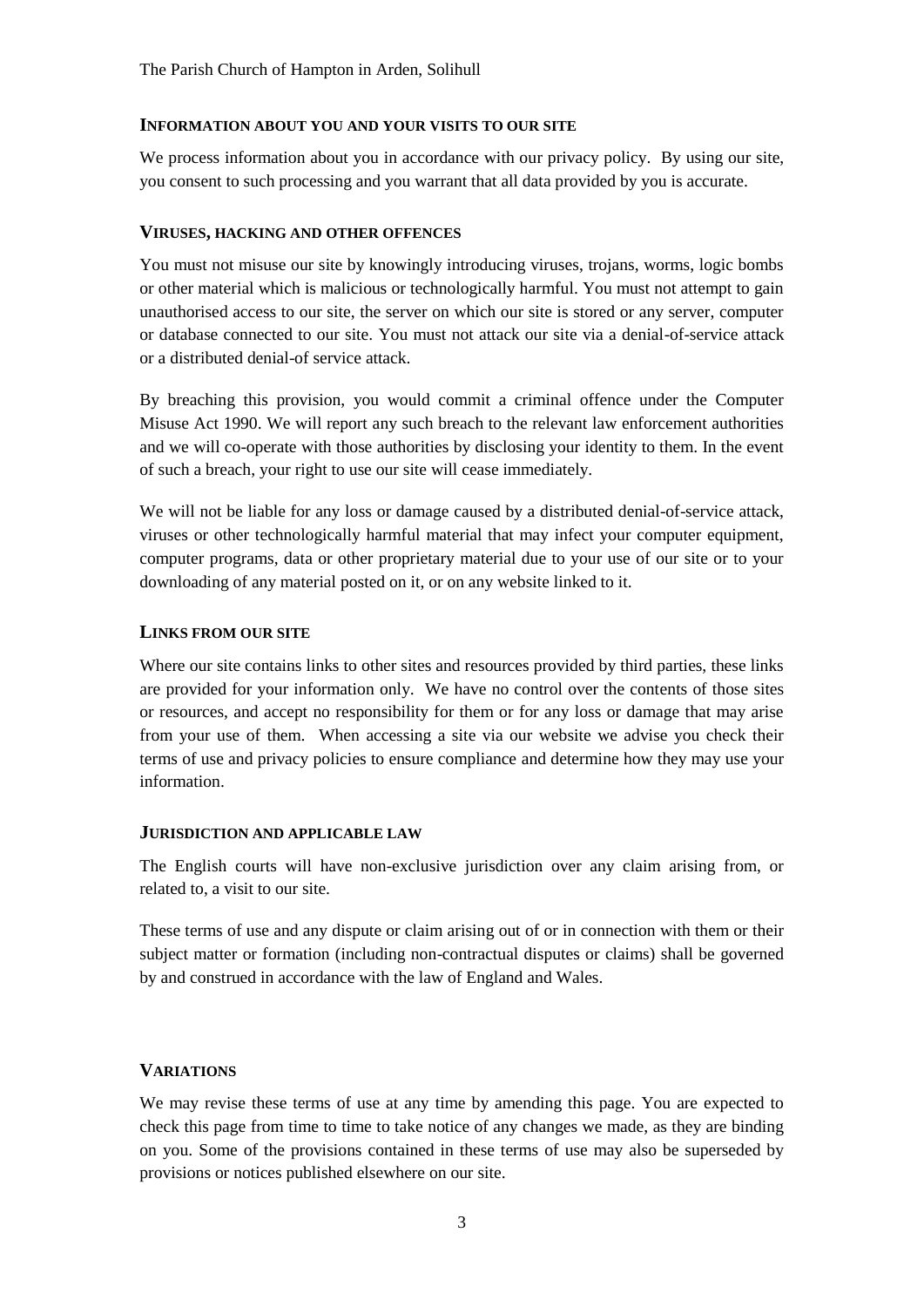#### **INFORMATION ABOUT YOU AND YOUR VISITS TO OUR SITE**

We process information about you in accordance with our privacy policy. By using our site, you consent to such processing and you warrant that all data provided by you is accurate.

#### **VIRUSES, HACKING AND OTHER OFFENCES**

You must not misuse our site by knowingly introducing viruses, trojans, worms, logic bombs or other material which is malicious or technologically harmful. You must not attempt to gain unauthorised access to our site, the server on which our site is stored or any server, computer or database connected to our site. You must not attack our site via a denial-of-service attack or a distributed denial-of service attack.

By breaching this provision, you would commit a criminal offence under the Computer Misuse Act 1990. We will report any such breach to the relevant law enforcement authorities and we will co-operate with those authorities by disclosing your identity to them. In the event of such a breach, your right to use our site will cease immediately.

We will not be liable for any loss or damage caused by a distributed denial-of-service attack, viruses or other technologically harmful material that may infect your computer equipment, computer programs, data or other proprietary material due to your use of our site or to your downloading of any material posted on it, or on any website linked to it.

#### **LINKS FROM OUR SITE**

Where our site contains links to other sites and resources provided by third parties, these links are provided for your information only. We have no control over the contents of those sites or resources, and accept no responsibility for them or for any loss or damage that may arise from your use of them. When accessing a site via our website we advise you check their terms of use and privacy policies to ensure compliance and determine how they may use your information.

#### **JURISDICTION AND APPLICABLE LAW**

The English courts will have non-exclusive jurisdiction over any claim arising from, or related to, a visit to our site.

These terms of use and any dispute or claim arising out of or in connection with them or their subject matter or formation (including non-contractual disputes or claims) shall be governed by and construed in accordance with the law of England and Wales.

### **VARIATIONS**

We may revise these terms of use at any time by amending this page. You are expected to check this page from time to time to take notice of any changes we made, as they are binding on you. Some of the provisions contained in these terms of use may also be superseded by provisions or notices published elsewhere on our site.